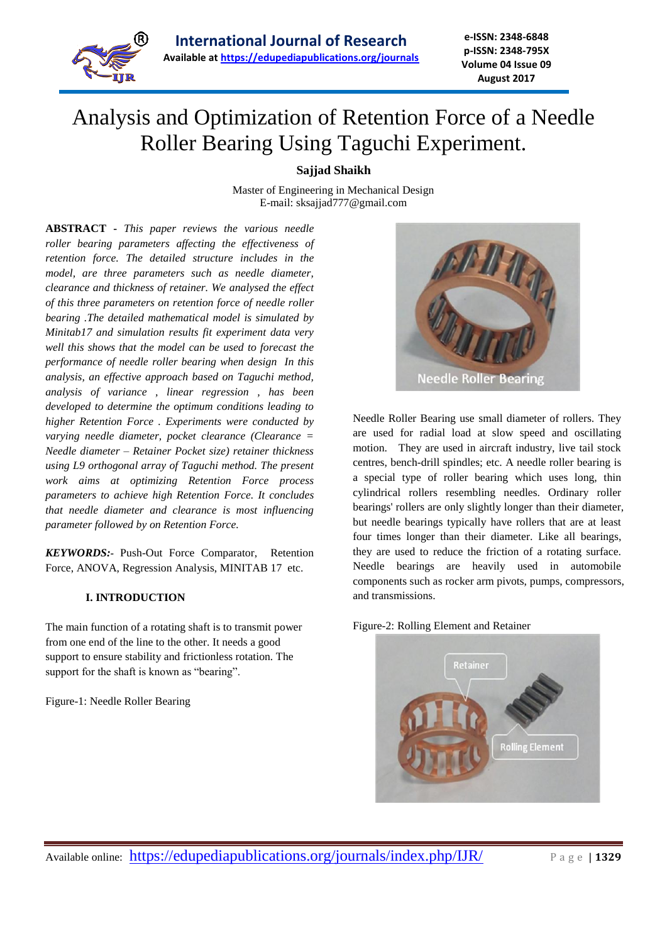

# Analysis and Optimization of Retention Force of a Needle Roller Bearing Using Taguchi Experiment.

**Sajjad Shaikh**

Master of Engineering in Mechanical Design E-mail: [sksajjad777@gmail.com](mailto:sksajjad777@gmail.com)

**ABSTRACT -** *This paper reviews the various needle roller bearing parameters affecting the effectiveness of retention force. The detailed structure includes in the model, are three parameters such as needle diameter, clearance and thickness of retainer. We analysed the effect of this three parameters on retention force of needle roller bearing .The detailed mathematical model is simulated by Minitab17 and simulation results fit experiment data very well this shows that the model can be used to forecast the performance of needle roller bearing when design In this analysis, an effective approach based on Taguchi method, analysis of variance , linear regression , has been developed to determine the optimum conditions leading to higher Retention Force . Experiments were conducted by varying needle diameter, pocket clearance (Clearance = Needle diameter – Retainer Pocket size) retainer thickness using L9 orthogonal array of Taguchi method. The present work aims at optimizing Retention Force process parameters to achieve high Retention Force. It concludes that needle diameter and clearance is most influencing parameter followed by on Retention Force.*

*KEYWORDS:-* Push-Out Force Comparator, Retention Force, ANOVA, Regression Analysis, MINITAB 17 etc.

## **I. INTRODUCTION**

The main function of a rotating shaft is to transmit power from one end of the line to the other. It needs a good support to ensure stability and frictionless rotation. The support for the shaft is known as "bearing".

Figure-1: Needle Roller Bearing



Needle Roller Bearing use small diameter of rollers. They are used for radial load at slow speed and oscillating motion. They are used in aircraft industry, live tail stock centres, bench-drill spindles; etc. A needle roller bearing is a special type of [roller bearing](https://en.wikipedia.org/wiki/Roller_bearing) which uses long, thin [cylindrical rollers](https://en.wikipedia.org/wiki/Cylinder_%28geometry%29) resembling [needles.](https://en.wikipedia.org/wiki/Needle) Ordinary roller bearings' rollers are only slightly longer than their diameter, but needle bearings typically have rollers that are at least four times longer than their diameter. Like all [bearings,](https://en.wikipedia.org/wiki/Bearing_%28mechanical%29) they are used to reduce the [friction](https://en.wikipedia.org/wiki/Friction) of a rotating surface. Needle bearings are heavily used in automobile components such as [rocker arm](https://en.wikipedia.org/wiki/Rocker_arm) pivots, [pumps,](https://en.wikipedia.org/wiki/Pump) [compressors,](https://en.wikipedia.org/wiki/Gas_compressor) and [transmissions.](https://en.wikipedia.org/wiki/Transmission_%28mechanics%29) 



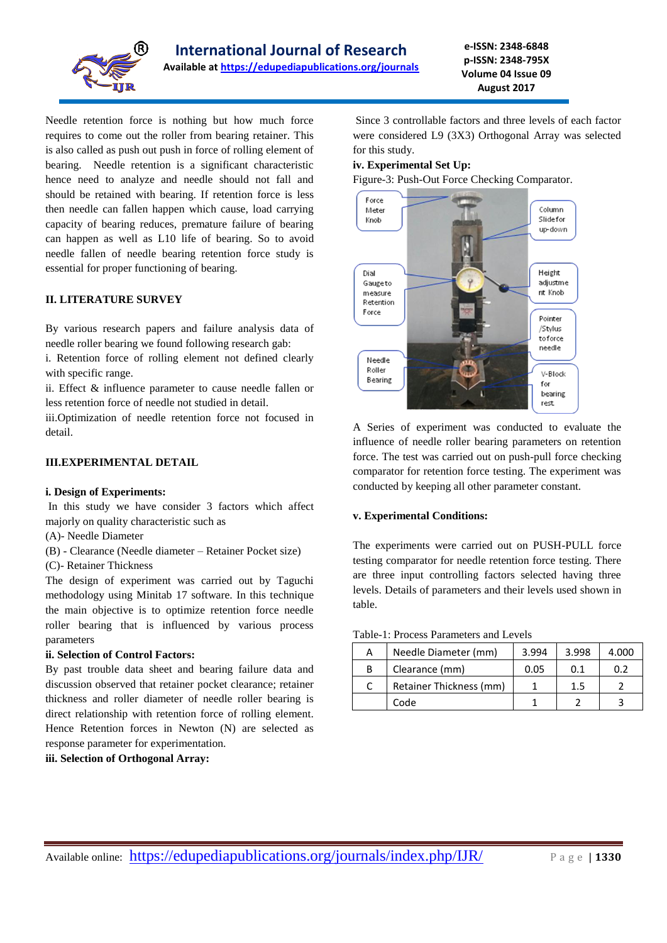

Needle retention force is nothing but how much force requires to come out the roller from bearing retainer. This is also called as push out push in force of rolling element of bearing. Needle retention is a significant characteristic hence need to analyze and needle should not fall and should be retained with bearing. If retention force is less then needle can fallen happen which cause, load carrying capacity of bearing reduces, premature failure of bearing can happen as well as L10 life of bearing. So to avoid needle fallen of needle bearing retention force study is essential for proper functioning of bearing.

## **II. LITERATURE SURVEY**

By various research papers and failure analysis data of needle roller bearing we found following research gab:

i. Retention force of rolling element not defined clearly with specific range.

ii. Effect & influence parameter to cause needle fallen or less retention force of needle not studied in detail.

iii.Optimization of needle retention force not focused in detail.

## **III.EXPERIMENTAL DETAIL**

## **i. Design of Experiments:**

In this study we have consider 3 factors which affect majorly on quality characteristic such as

- (A)- Needle Diameter
- (B) Clearance (Needle diameter Retainer Pocket size)

(C)- Retainer Thickness

The design of experiment was carried out by Taguchi methodology using Minitab 17 software. In this technique the main objective is to optimize retention force needle roller bearing that is influenced by various process parameters

## **ii. Selection of Control Factors:**

By past trouble data sheet and bearing failure data and discussion observed that retainer pocket clearance; retainer thickness and roller diameter of needle roller bearing is direct relationship with retention force of rolling element. Hence Retention forces in Newton (N) are selected as response parameter for experimentation.

**iii. Selection of Orthogonal Array:**

Since 3 controllable factors and three levels of each factor were considered L9 (3X3) Orthogonal Array was selected for this study.

## **iv. Experimental Set Up:**

Figure-3: Push-Out Force Checking Comparator.



A Series of experiment was conducted to evaluate the influence of needle roller bearing parameters on retention force. The test was carried out on push-pull force checking comparator for retention force testing. The experiment was conducted by keeping all other parameter constant.

## **v. Experimental Conditions:**

The experiments were carried out on PUSH-PULL force testing comparator for needle retention force testing. There are three input controlling factors selected having three levels. Details of parameters and their levels used shown in table.

#### Table-1: Process Parameters and Levels

| А | Needle Diameter (mm)    | 3.994 | 3.998 | 4.000 |
|---|-------------------------|-------|-------|-------|
| B | Clearance (mm)          | 0.05  | 0.1   | በ ን   |
|   | Retainer Thickness (mm) |       | 1.5   |       |
|   | Code                    |       |       |       |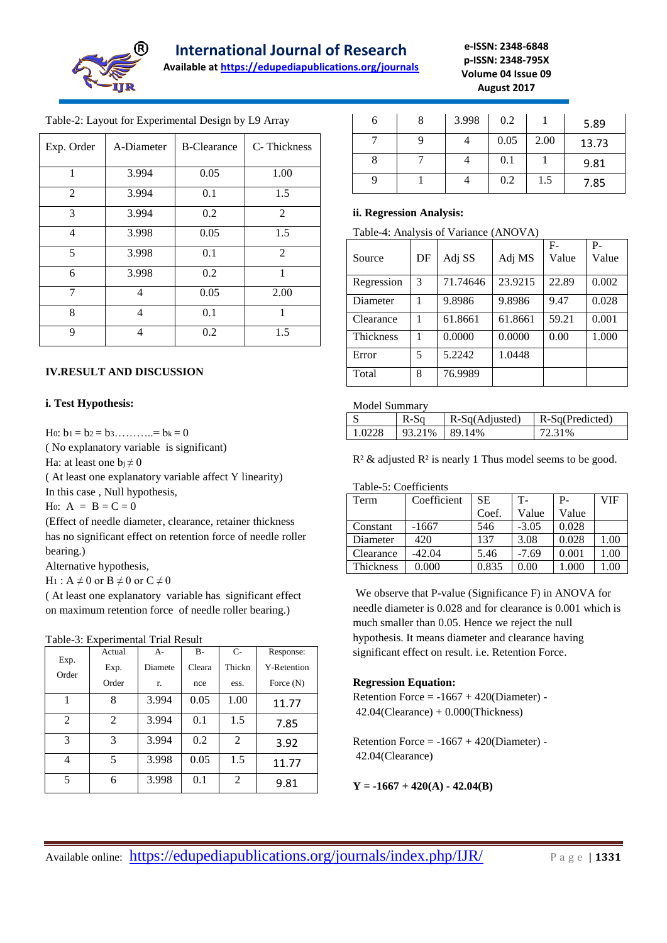

## **International Journal of Research**

**Available at<https://edupediapublications.org/journals>**

**e-ISSN: 2348-6848 p-ISSN: 2348-795X Volume 04 Issue 09 August 2017**

| Exp. Order | A-Diameter | <b>B-Clearance</b> | C-Thickness    |
|------------|------------|--------------------|----------------|
| 1          | 3.994      | 0.05               | 1.00           |
| 2          | 3.994      | 0.1                | 1.5            |
| 3          | 3.994      | 0.2                | 2              |
| 4          | 3.998      | 0.05               | 1.5            |
| 5          | 3.998      | 0.1                | $\overline{2}$ |
| 6          | 3.998      | 0.2                | 1              |
| 7          | 4          | 0.05               | 2.00           |
| 8          | 4          | 0.1                | 1              |
| 9          | 4          | 0.2                | 1.5            |

Table-2: Layout for Experimental Design by L9 Array

## **IV.RESULT AND DISCUSSION**

## **i. Test Hypothesis:**

H<sub>0</sub>:  $b_1 = b_2 = b_3$ .........=  $b_k = 0$ 

( No explanatory variable is significant)

Ha: at least one  $b_i \neq 0$ 

( At least one explanatory variable affect Y linearity) In this case , Null hypothesis,

H<sub>0</sub>:  $A = B = C = 0$ 

(Effect of needle diameter, clearance, retainer thickness has no significant effect on retention force of needle roller bearing.)

Alternative hypothesis,

 $H_1: A \neq 0$  or  $B \neq 0$  or  $C \neq 0$ 

( At least one explanatory variable has significant effect on maximum retention force of needle roller bearing.)

Table-3: Experimental Trial Result

|                | Actual | $A-$    | $B -$  | $C-$           | Response:          |
|----------------|--------|---------|--------|----------------|--------------------|
| Exp.           | Exp.   | Diamete | Cleara | Thickn         | <b>Y-Retention</b> |
| Order          | Order  | r.      | nce    | ess.           | Force $(N)$        |
| 1              | 8      | 3.994   | 0.05   | 1.00           | 11.77              |
| $\overline{2}$ | 2      | 3.994   | 0.1    | 1.5            | 7.85               |
| 3              | 3      | 3.994   | 0.2    | $\overline{2}$ | 3.92               |
| 4              | 5      | 3.998   | 0.05   | 1.5            | 11.77              |
| 5              | 6      | 3.998   | 0.1    | $\overline{2}$ | 9.81               |

| 6 | 8 | 3.998 | 0.2  |      | 5.89  |
|---|---|-------|------|------|-------|
|   |   |       | 0.05 | 2.00 | 13.73 |
| 8 |   |       | 0.1  |      | 9.81  |
| q |   |       | 0.2  | 1.5  | 7.85  |

## **ii. Regression Analysis:**

| Table-4: Analysis of Variance (ANOVA) |  |
|---------------------------------------|--|
|                                       |  |

| Source     | DF | Adj SS   | Adj MS  | $F-$<br>Value | $P -$<br>Value |
|------------|----|----------|---------|---------------|----------------|
| Regression | 3  | 71.74646 | 23.9215 | 22.89         | 0.002          |
| Diameter   | 1  | 9.8986   | 9.8986  | 9.47          | 0.028          |
| Clearance  | 1  | 61.8661  | 61.8661 | 59.21         | 0.001          |
| Thickness  | 1  | 0.0000   | 0.0000  | 0.00          | 1.000          |
| Error      | 5  | 5.2242   | 1.0448  |               |                |
| Total      | 8  | 76.9989  |         |               |                |

## Model Summary

|       | $R-Sq$ | R-Sq(Adjusted) | R-Sq(Predicted) |  |  |  |
|-------|--------|----------------|-----------------|--|--|--|
| -0228 | 93.21% | 89 14%         | 72.31%          |  |  |  |

 $R<sup>2</sup>$  & adjusted  $R<sup>2</sup>$  is nearly 1 Thus model seems to be good.

#### Table-5: Coefficients

| Term      | Coefficient | SЕ    | т.      | P-    | VIF  |
|-----------|-------------|-------|---------|-------|------|
|           |             | Coef. | Value   | Value |      |
| Constant  | $-1667$     | 546   | $-3.05$ | 0.028 |      |
| Diameter  | 420         | 137   | 3.08    | 0.028 | 1.00 |
| Clearance | $-42.04$    | 5.46  | $-7.69$ | 0.001 | 1.00 |
| Thickness | 0.000       | 0.835 | 0.00    | .000  | .00  |

We observe that P-value (Significance F) in ANOVA for needle diameter is 0.028 and for clearance is 0.001 which is much smaller than 0.05. Hence we reject the null hypothesis. It means diameter and clearance having significant effect on result. i.e. Retention Force.

## **Regression Equation:**

Retention Force  $= -1667 + 420$ (Diameter) -42.04(Clearance) + 0.000(Thickness)

Retention Force  $= -1667 + 420$ (Diameter) -42.04(Clearance)

**Y = -1667 + 420(A) - 42.04(B)**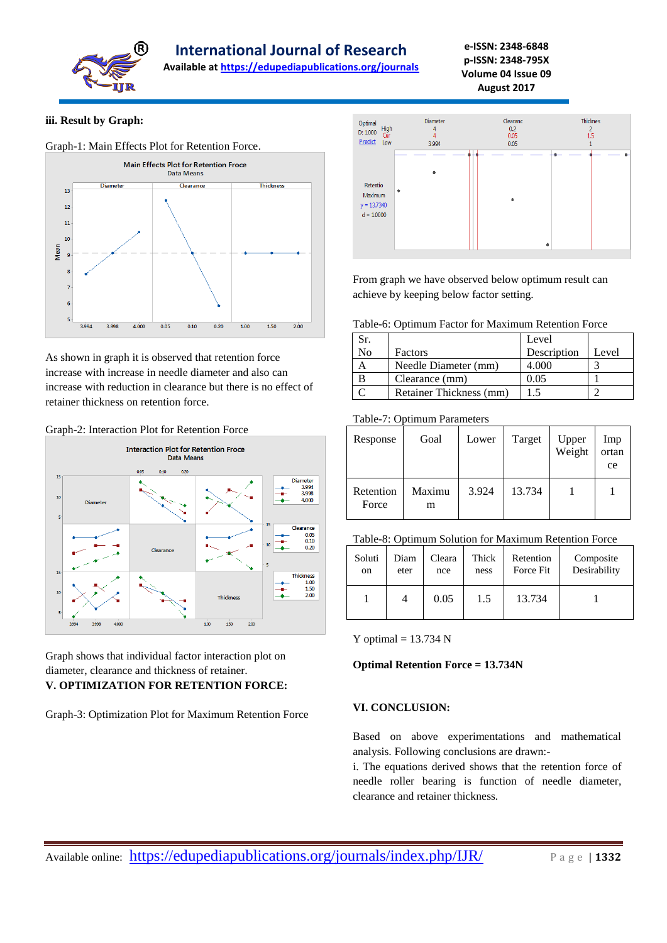

**International Journal of Research** 

**Available at<https://edupediapublications.org/journals>**

**e-ISSN: 2348-6848 p-ISSN: 2348-795X Volume 04 Issue 09 August 2017**

#### **iii. Result by Graph:**



As shown in graph it is observed that retention force increase with increase in needle diameter and also can increase with reduction in clearance but there is no effect of retainer thickness on retention force.

#### Graph-2: Interaction Plot for Retention Force



Graph shows that individual factor interaction plot on diameter, clearance and thickness of retainer. **V. OPTIMIZATION FOR RETENTION FORCE:**

Graph-3: Optimization Plot for Maximum Retention Force



From graph we have observed below optimum result can achieve by keeping below factor setting.

Table-6: Optimum Factor for Maximum Retention Force

| Sr. |                         | Level       |       |
|-----|-------------------------|-------------|-------|
| No  | Factors                 | Description | Level |
|     | Needle Diameter (mm)    | 4.000       |       |
|     | Clearance (mm)          | 0.05        |       |
|     | Retainer Thickness (mm) | 15          |       |

## Table-7: Optimum Parameters

| Response           | Goal        | Lower | Target | Upper<br>Weight | Imp<br>ortan<br>ce |
|--------------------|-------------|-------|--------|-----------------|--------------------|
| Retention<br>Force | Maximu<br>m | 3.924 | 13.734 |                 |                    |

## Table-8: Optimum Solution for Maximum Retention Force

| Soluti | Diam | Cleara | Thick | Retention | Composite    |
|--------|------|--------|-------|-----------|--------------|
| on     | eter | nce    | ness  | Force Fit | Desirability |
|        |      | 0.05   | 1.5   | 13.734    |              |

Y optimal  $= 13.734$  N

## **Optimal Retention Force = 13.734N**

## **VI. CONCLUSION:**

Based on above experimentations and mathematical analysis. Following conclusions are drawn:-

i. The equations derived shows that the retention force of needle roller bearing is function of needle diameter, clearance and retainer thickness.